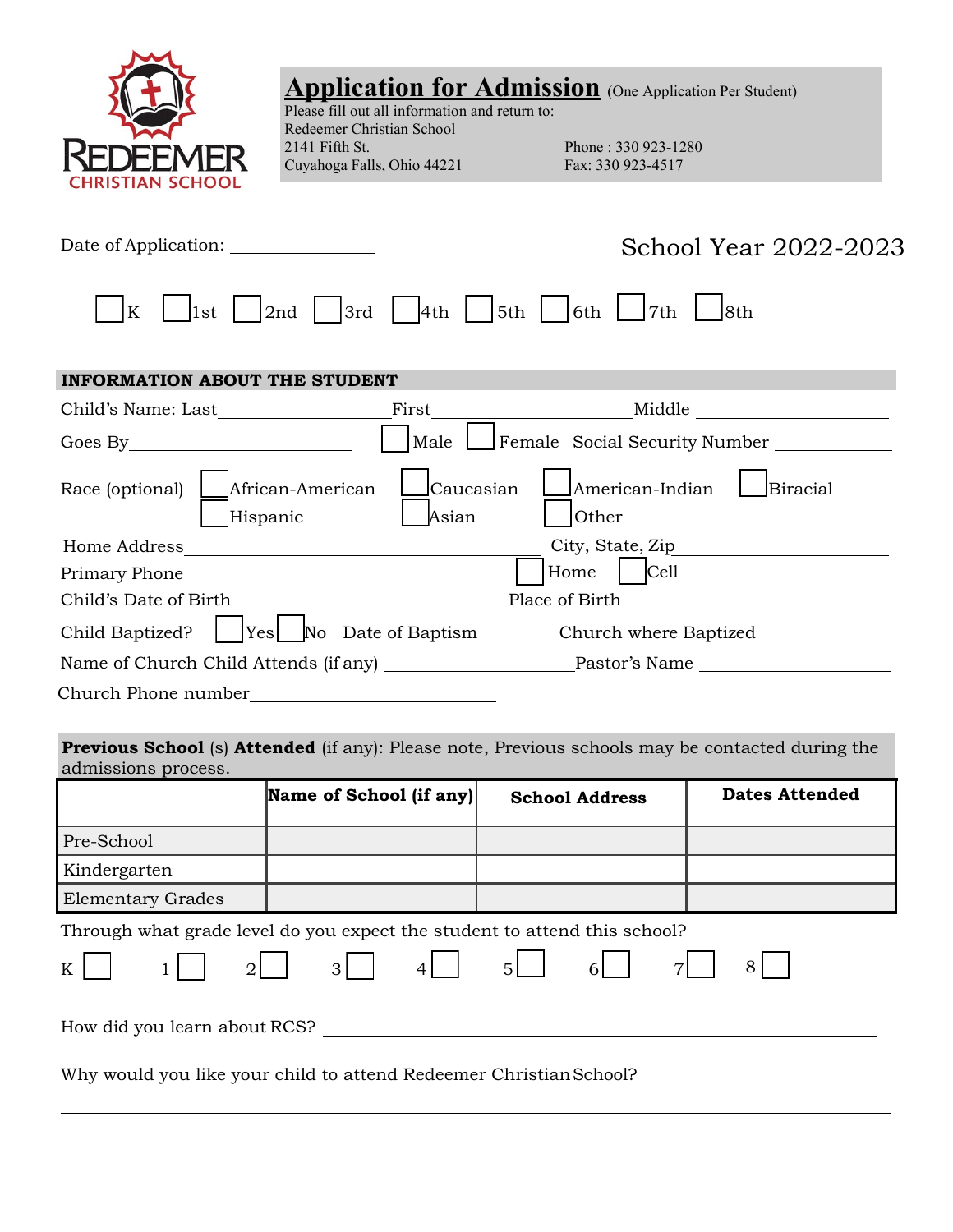

## **Application for Admission** (One Application Per Student)

Please fill out all information and return to: Redeemer Christian School<br>2141 Fifth St. Cuyahoga Falls, Ohio 44221 Fax: 330 923-4517

Phone : 330 923-1280

| Date of Application:                                                  |                    | School Year 2022-2023                                                  |
|-----------------------------------------------------------------------|--------------------|------------------------------------------------------------------------|
| 2nd<br>K<br>1st                                                       | 3rd<br>4th         | 5th<br>6th<br>7th<br>8th                                               |
| <b>INFORMATION ABOUT THE STUDENT</b>                                  |                    |                                                                        |
|                                                                       | First              |                                                                        |
|                                                                       | Male               | Female Social Security Number _______                                  |
| African-American<br>Race (optional)<br>Hispanic                       | Caucasian<br>Asian | American-Indian<br>Biracial<br><b>Other</b>                            |
| Home Address<br><u> 1980 - Johann Stein, fransk politik (d. 1980)</u> |                    | City, State, Zip                                                       |
|                                                                       |                    | $\vert$ Cell<br>Home                                                   |
| Child's Date of Birth                                                 |                    |                                                                        |
| Child Baptized?                                                       |                    | Yes __No Date of Baptism_________Church where Baptized _______________ |
|                                                                       |                    | Name of Church Child Attends (if any) Pastor's Name                    |
| Church Phone number                                                   |                    |                                                                        |

**Previous School** (s) **Attended** (if any): Please note, Previous schools may be contacted during the admissions process.

|                                                                           | Name of School (if any) | <b>School Address</b>                 | <b>Dates Attended</b> |  |  |
|---------------------------------------------------------------------------|-------------------------|---------------------------------------|-----------------------|--|--|
| Pre-School                                                                |                         |                                       |                       |  |  |
| Kindergarten                                                              |                         |                                       |                       |  |  |
| <b>Elementary Grades</b>                                                  |                         |                                       |                       |  |  |
| Through what grade level do you expect the student to attend this school? |                         |                                       |                       |  |  |
| 2 <sup>1</sup><br>K                                                       | $4\vert$<br>$3 \mid$    | 5 <sup>1</sup><br>6<br>$\overline{7}$ | 8                     |  |  |
|                                                                           |                         |                                       |                       |  |  |

How did you learn about RCS?

Why would you like your child to attend Redeemer Christian School?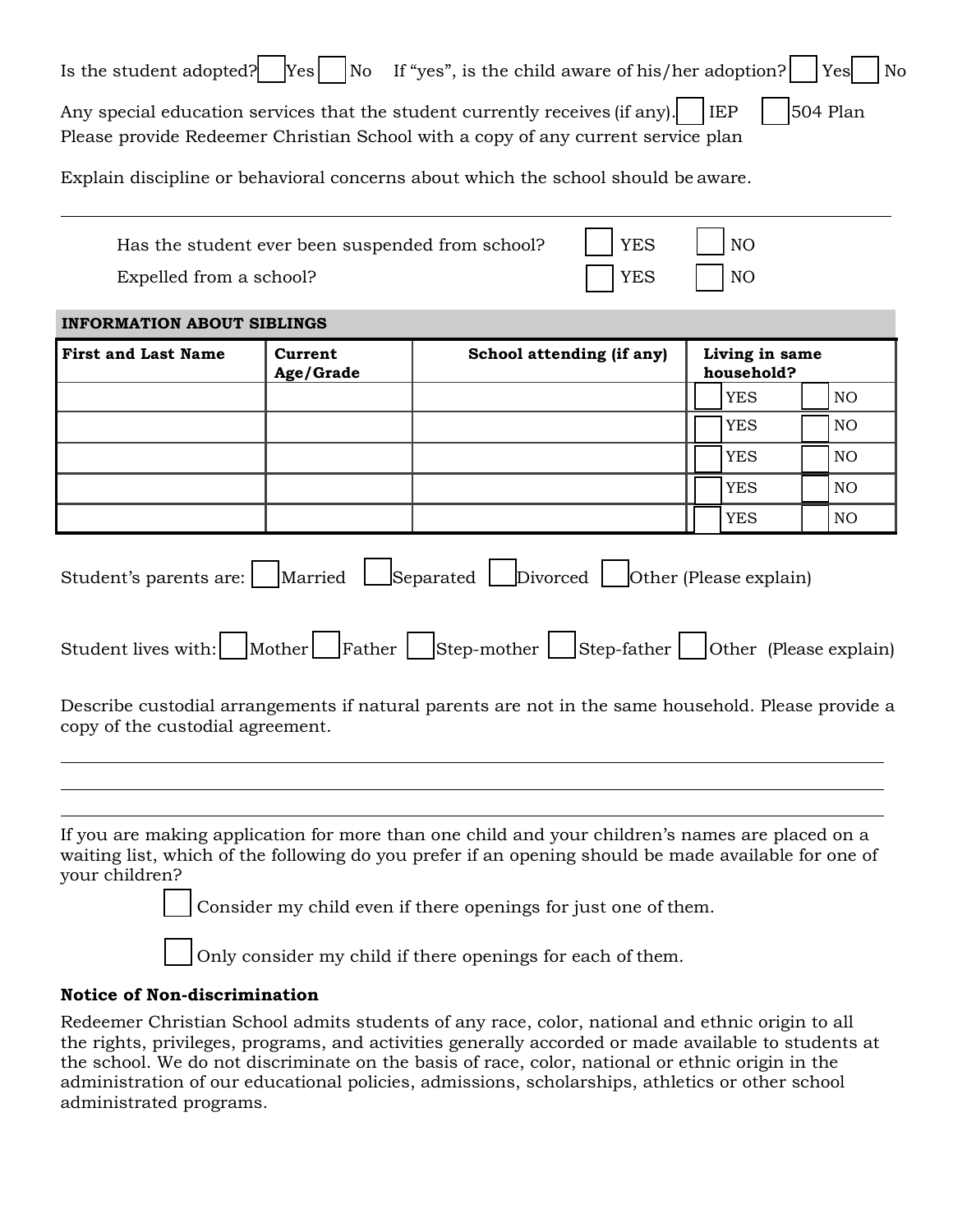| Is the student adopted?                                                                                                                                                                                                                                             | Yes <br>No                                       | If "yes", is the child aware of his/her adoption?              |            |                              |                        |  | Yes<br>No |
|---------------------------------------------------------------------------------------------------------------------------------------------------------------------------------------------------------------------------------------------------------------------|--------------------------------------------------|----------------------------------------------------------------|------------|------------------------------|------------------------|--|-----------|
| Any special education services that the student currently receives (if any).<br>Please provide Redeemer Christian School with a copy of any current service plan                                                                                                    |                                                  |                                                                |            | <b>IEP</b>                   |                        |  | 504 Plan  |
| Explain discipline or behavioral concerns about which the school should be aware.                                                                                                                                                                                   |                                                  |                                                                |            |                              |                        |  |           |
|                                                                                                                                                                                                                                                                     | Has the student ever been suspended from school? |                                                                | <b>YES</b> |                              | NO                     |  |           |
| Expelled from a school?                                                                                                                                                                                                                                             |                                                  |                                                                | <b>YES</b> |                              | N <sub>O</sub>         |  |           |
| <b>INFORMATION ABOUT SIBLINGS</b>                                                                                                                                                                                                                                   |                                                  |                                                                |            |                              |                        |  |           |
| <b>First and Last Name</b>                                                                                                                                                                                                                                          | Current<br>Age/Grade                             | School attending (if any)                                      |            | Living in same<br>household? |                        |  |           |
|                                                                                                                                                                                                                                                                     |                                                  |                                                                |            |                              | <b>YES</b>             |  | NO        |
|                                                                                                                                                                                                                                                                     |                                                  |                                                                |            |                              | <b>YES</b>             |  | NO        |
|                                                                                                                                                                                                                                                                     |                                                  |                                                                |            |                              | <b>YES</b>             |  | NO        |
|                                                                                                                                                                                                                                                                     |                                                  |                                                                |            |                              | <b>YES</b>             |  | NO.       |
|                                                                                                                                                                                                                                                                     |                                                  |                                                                |            |                              | <b>YES</b>             |  | NO        |
| Student's parents are:<br>Student lives with:    Mother    Father    Step-mother    Step-father    Other (Please explain)<br>Describe custodial arrangements if natural parents are not in the same household. Please provide a<br>copy of the custodial agreement. |                                                  | Married Separated Divorced                                     |            |                              | Other (Please explain) |  |           |
| If you are making application for more than one child and your children's names are placed on a<br>waiting list, which of the following do you prefer if an opening should be made available for one of<br>your children?                                           |                                                  |                                                                |            |                              |                        |  |           |
|                                                                                                                                                                                                                                                                     |                                                  | Consider my child even if there openings for just one of them. |            |                              |                        |  |           |
|                                                                                                                                                                                                                                                                     |                                                  | Only consider my child if there openings for each of them.     |            |                              |                        |  |           |

## **Notice of Non-discrimination**

Redeemer Christian School admits students of any race, color, national and ethnic origin to all the rights, privileges, programs, and activities generally accorded or made available to students at the school. We do not discriminate on the basis of race, color, national or ethnic origin in the administration of our educational policies, admissions, scholarships, athletics or other school administrated programs.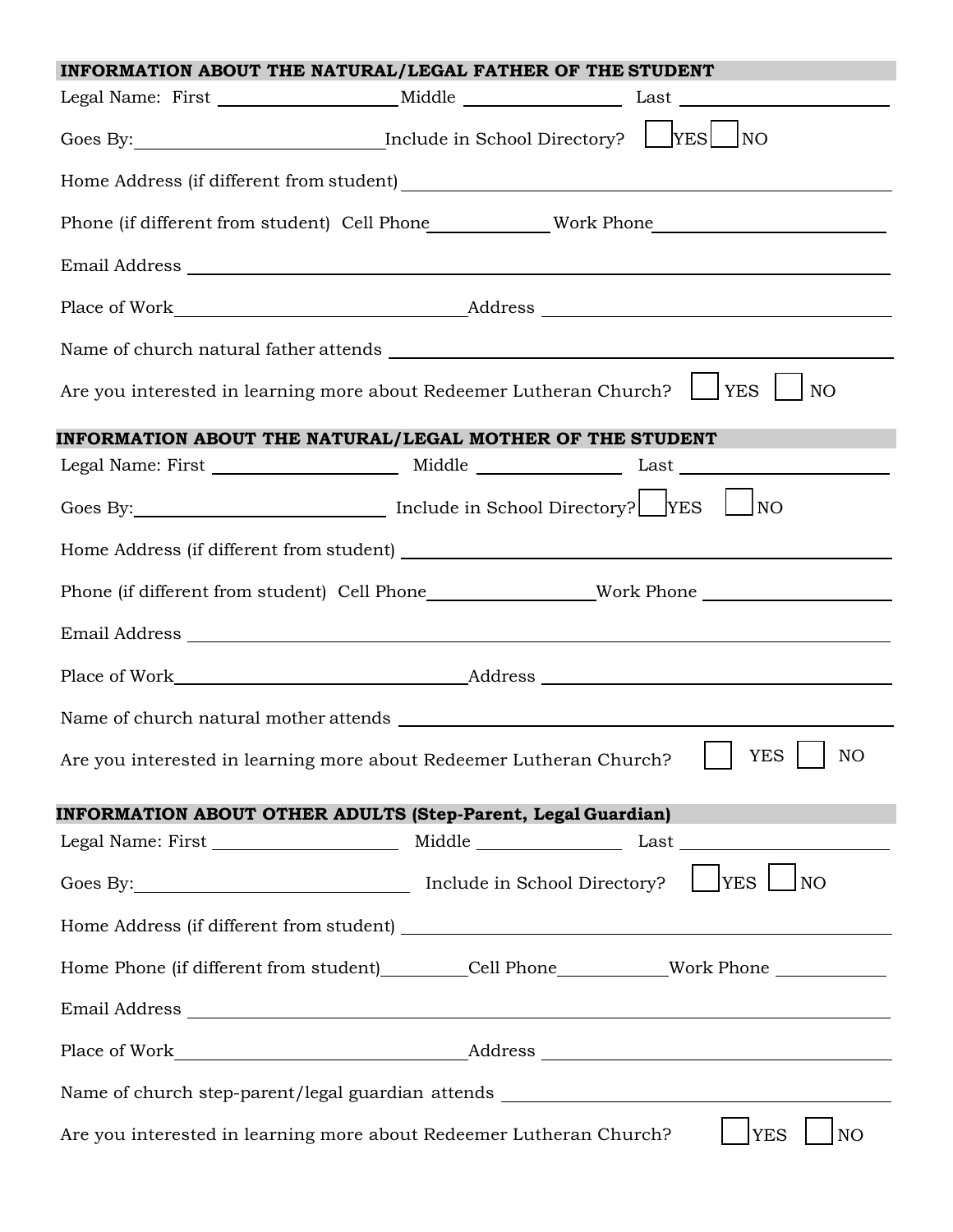| INFORMATION ABOUT THE NATURAL/LEGAL FATHER OF THE STUDENT                                            |  |  |  |  |  |
|------------------------------------------------------------------------------------------------------|--|--|--|--|--|
| Legal Name: First _______________________Middle _________________________________                    |  |  |  |  |  |
|                                                                                                      |  |  |  |  |  |
|                                                                                                      |  |  |  |  |  |
|                                                                                                      |  |  |  |  |  |
|                                                                                                      |  |  |  |  |  |
|                                                                                                      |  |  |  |  |  |
|                                                                                                      |  |  |  |  |  |
| Are you interested in learning more about Redeemer Lutheran Church? U YES<br><b>NO</b>               |  |  |  |  |  |
| INFORMATION ABOUT THE NATURAL/LEGAL MOTHER OF THE STUDENT                                            |  |  |  |  |  |
|                                                                                                      |  |  |  |  |  |
|                                                                                                      |  |  |  |  |  |
|                                                                                                      |  |  |  |  |  |
| Phone (if different from student) Cell Phone___________________Work Phone __________________________ |  |  |  |  |  |
|                                                                                                      |  |  |  |  |  |
|                                                                                                      |  |  |  |  |  |
|                                                                                                      |  |  |  |  |  |
| Are you interested in learning more about Redeemer Lutheran Church?     YES     NO                   |  |  |  |  |  |
| <b>INFORMATION ABOUT OTHER ADULTS (Step-Parent, Legal Guardian)</b>                                  |  |  |  |  |  |
|                                                                                                      |  |  |  |  |  |
| Goes By: Include in School Directory? TyES NO                                                        |  |  |  |  |  |
|                                                                                                      |  |  |  |  |  |
| Home Phone (if different from student) _________Cell Phone _____________Work Phone _________________ |  |  |  |  |  |
|                                                                                                      |  |  |  |  |  |
|                                                                                                      |  |  |  |  |  |
| Name of church step-parent/legal guardian attends _______________________________                    |  |  |  |  |  |
| Are you interested in learning more about Redeemer Lutheran Church?<br><b>YES</b><br>NO <sub>1</sub> |  |  |  |  |  |